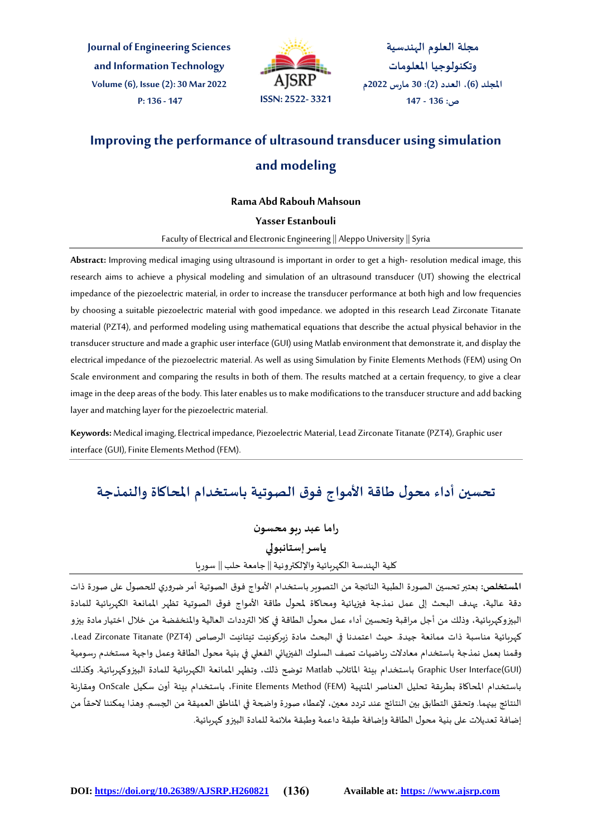**Journal of Engineering Sciences and Information Technology Volume (6), Issue (2): 30 Mar 2022**



**مجلة العلوم الهندسية وتكنولوجيا املعلومات املجلد )6(، العدد )2(: 30 مارس 2022م ص: 136 - 147**

# **Improving the performance of ultrasound transducer using simulation and modeling**

#### **Rama Abd Rabouh Mahsoun**

#### **Yasser Estanbouli**

Faculty of Electrical and Electronic Engineering || Aleppo University ||Syria

**Abstract:** Improving medical imaging using ultrasound is important in order to get a high- resolution medical image, this research aims to achieve a physical modeling and simulation of an ultrasound transducer (UT) showing the electrical impedance of the piezoelectric material, in order to increase the transducer performance at both high and low frequencies by choosing a suitable piezoelectric material with good impedance. we adopted in this research Lead Zirconate Titanate material (PZT4), and performed modeling using mathematical equations that describe the actual physical behavior in the transducer structure and made a graphic user interface (GUI) using Matlab environment that demonstrate it, and display the electrical impedance of the piezoelectric material. As well as using Simulation by Finite Elements Methods (FEM) using On Scale environment and comparing the results in both of them. The results matched at a certain frequency, to give a clear image in the deep areas of the body. This later enables us to make modifications to the transducer structure and add backing layer and matching layer for the piezoelectric material.

**Keywords:** Medical imaging, Electrical impedance, Piezoelectric Material, Lead Zirconate Titanate (PZT4), Graphic user interface (GUI), Finite Elements Method (FEM).

## **تحسين أداء محول طاقة األمواج فوق الصوتية باستخدام املحاكاة والنمذجة**

**راما عبد ربو محسون ياسر إستانبولي** كلية الهندسة الكهربائية واإللكترونية|| جامعة حلب|| سوريا

**املستخلص:** بعتبرتحسين الصورة الطبية الناتجة من التصوير باستخدام األمواج فوق الصوتية أمرضروري للحصول على صورة ذات دقة عالية، يهدف البحث إلى عمل نمذجة فيزيائية ومحاكاة ملحول طاقة األمواج فوق الصوتية تظهر املمانعة الكهربائية للمادة البيزوكهربائية، وذلك من أجل مراقبة وتحسين أداء عمل محول الطاقة في كال الترددات العالية واملنخفضة من خالل اختيارمادة بيزو كهربائية مناسبة ذات ممانعة جيدة. حيث اعتمدنا في البحث مادة زيركونيت تيتانيت الرصاص (Lead Zirconate Titanate (PZT4، وقمنا بعمل نمذجة باستخدام معادالت رياضيات تصف السلوك الفيزيائي الفعلي في بنية محول الطاقة وعمل واجهة مستخدم رسومية (GUI(Interface User Graphic باستخدام بيئة املاتالب Matlab توضح ذلك، وتظهر املمانعة الكهربائية للمادة البيزوكهربائية. وكذلك باستخدام املحاكاة بطريقة تحليل العناصر املنتهية (FEM (Method Elements Finite، باستخدام بيئة أون سكيل OnScale ومقارنة النتائج بينهما. وتحقق التطابق بين النتائج عند تردد معين، لإعطاء صورة واضحة في المناطق العميقة من الجسم. وهذا يمكننا لاحقاً من ً<br>أ إضافة تعديالت على بنية محول الطاقة وإضافة طبقة داعمة وطبقة مالئمة للمادة البيزو كهربائية.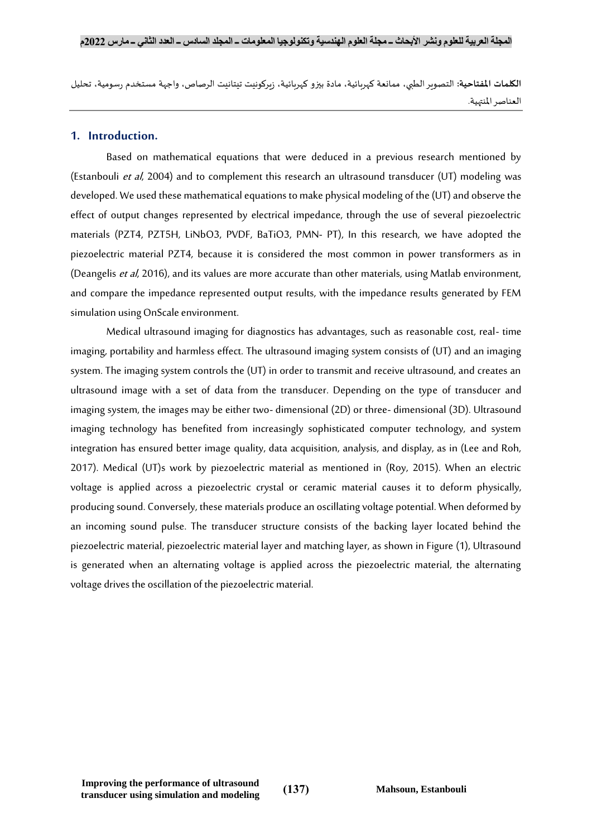**الكلمات املفتاحية:** التصويرالطبي، ممانعة كهربائية، مادة بيزو كهربائية، زيركونيت تيتانيت الرصاص، واجهة مستخدم رسومية، تحليل العناصر املنتهية.

## **1. Introduction.**

Based on mathematical equations that were deduced in a previous research mentioned by (Estanbouli et al, 2004) and to complement this research an ultrasound transducer (UT) modeling was developed. We used these mathematical equations to make physical modeling of the (UT) and observe the effect of output changes represented by electrical impedance, through the use of several piezoelectric materials (PZT4, PZT5H, LiNbO3, PVDF, BaTiO3, PMN- PT), In this research, we have adopted the piezoelectric material PZT4, because it is considered the most common in power transformers as in (Deangelis et al, 2016), and its values are more accurate than other materials, using Matlab environment, and compare the impedance represented output results, with the impedance results generated by FEM simulation using OnScale environment.

Medical ultrasound imaging for diagnostics has advantages, such as reasonable cost, real- time imaging, portability and harmless effect. The ultrasound imaging system consists of (UT) and an imaging system. The imaging system controls the (UT) in order to transmit and receive ultrasound, and creates an ultrasound image with a set of data from the transducer. Depending on the type of transducer and imaging system, the images may be either two- dimensional (2D) or three- dimensional (3D). Ultrasound imaging technology has benefited from increasingly sophisticated computer technology, and system integration has ensured better image quality, data acquisition, analysis, and display, as in (Lee and Roh, 2017). Medical (UT)s work by piezoelectric material as mentioned in (Roy, 2015). When an electric voltage is applied across a piezoelectric crystal or ceramic material causes it to deform physically, producing sound. Conversely, these materials produce an oscillating voltage potential. When deformed by an incoming sound pulse. The transducer structure consists of the backing layer located behind the piezoelectric material, piezoelectric material layer and matching layer, as shown in Figure (1), Ultrasound is generated when an alternating voltage is applied across the piezoelectric material, the alternating voltage drives the oscillation of the piezoelectric material.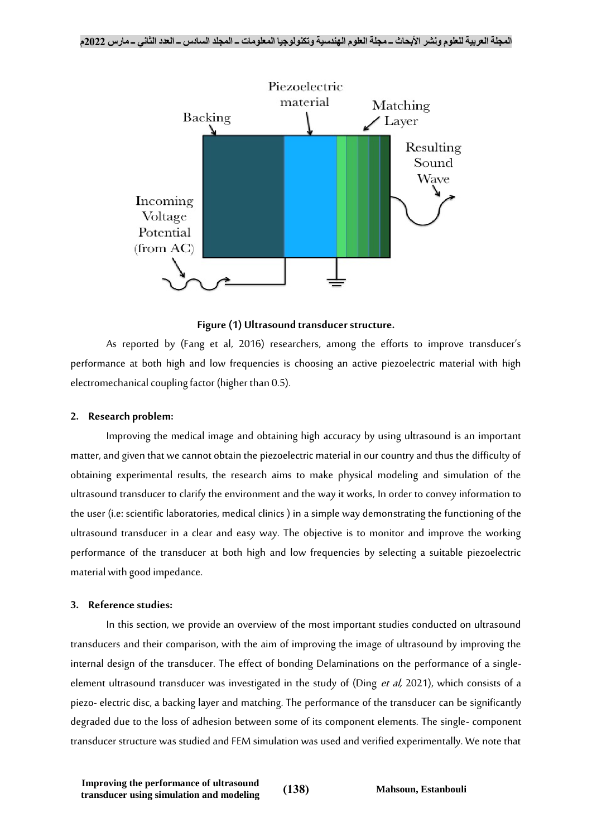

## **Figure (1) Ultrasound transducer structure.**

As reported by (Fang et al, 2016) researchers, among the efforts to improve transducer's performance at both high and low frequencies is choosing an active piezoelectric material with high electromechanical coupling factor (higher than 0.5).

## **2. Research problem:**

Improving the medical image and obtaining high accuracy by using ultrasound is an important matter, and given that we cannot obtain the piezoelectric material in our country and thus the difficulty of obtaining experimental results, the research aims to make physical modeling and simulation of the ultrasound transducer to clarify the environment and the way it works, In order to convey information to the user (i.e: scientific laboratories, medical clinics ) in a simple way demonstrating the functioning of the ultrasound transducer in a clear and easy way. The objective is to monitor and improve the working performance of the transducer at both high and low frequencies by selecting a suitable piezoelectric material with good impedance.

## **3. Reference studies:**

In this section, we provide an overview of the most important studies conducted on ultrasound transducers and their comparison, with the aim of improving the image of ultrasound by improving the internal design of the transducer. The effect of bonding Delaminations on the performance of a singleelement ultrasound transducer was investigated in the study of (Ding et al, 2021), which consists of a piezo- electric disc, a backing layer and matching. The performance of the transducer can be significantly degraded due to the loss of adhesion between some of its component elements. The single- component transducer structure was studied and FEM simulation was used and verified experimentally. We note that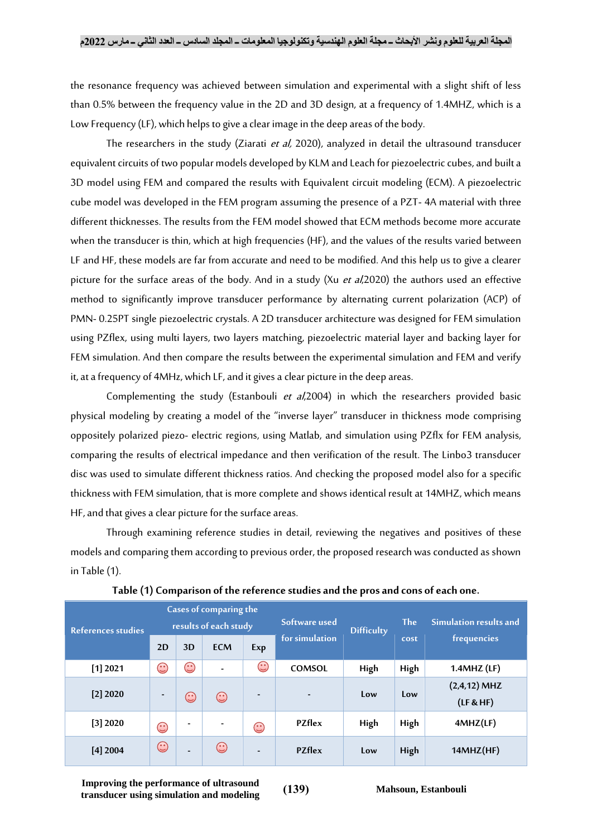the resonance frequency was achieved between simulation and experimental with a slight shift of less than 0.5% between the frequency value in the 2D and 3D design, at a frequency of 1.4MHZ, which is a Low Frequency (LF), which helps to give a clear image in the deep areas of the body.

The researchers in the study (Ziarati et al, 2020), analyzed in detail the ultrasound transducer equivalent circuits of two popular models developed by KLM and Leach for piezoelectric cubes, and built a 3D model using FEM and compared the results with Equivalent circuit modeling (ECM). A piezoelectric cube model was developed in the FEM program assuming the presence of a PZT- 4A material with three different thicknesses. The results from the FEM model showed that ECM methods become more accurate when the transducer is thin, which at high frequencies (HF), and the values of the results varied between LF and HF, these models are far from accurate and need to be modified. And this help us to give a clearer picture for the surface areas of the body. And in a study (Xu et al, 2020) the authors used an effective method to significantly improve transducer performance by alternating current polarization (ACP) of PMN- 0.25PT single piezoelectric crystals. A 2D transducer architecture was designed for FEM simulation using PZflex, using multi layers, two layers matching, piezoelectric material layer and backing layer for FEM simulation. And then compare the results between the experimental simulation and FEM and verify it, at a frequency of 4MHz, which LF, and it gives a clear picture in the deep areas.

Complementing the study (Estanbouli et al, 2004) in which the researchers provided basic physical modeling by creating a model of the "inverse layer" transducer in thickness mode comprising oppositely polarized piezo- electric regions, using Matlab, and simulation using PZflx for FEM analysis, comparing the results of electrical impedance and then verification of the result. The Linbo3 transducer disc was used to simulate different thickness ratios. And checking the proposed model also for a specific thickness with FEM simulation, that is more complete and shows identical result at 14MHZ, which means HF, and that gives a clear picture for the surface areas.

Through examining reference studies in detail, reviewing the negatives and positives of these models and comparing them according to previous order, the proposed research was conducted as shown in Table (1).

| <b>Cases of comparing the</b> |                          |                        |                          |                              |                          |                   |            |                             |  |  |  |
|-------------------------------|--------------------------|------------------------|--------------------------|------------------------------|--------------------------|-------------------|------------|-----------------------------|--|--|--|
| References studies            | results of each study    |                        |                          |                              | Software used            | <b>Difficulty</b> | <b>The</b> | Simulation results and      |  |  |  |
|                               | 2D                       | 3D                     | <b>ECM</b>               | Exp                          | for simulation           |                   | cost       | frequencies                 |  |  |  |
| $[1]$ 2021                    | $\bigodot$               | $\widehat{\mathbb{C}}$ | $\overline{a}$           | $\odot$                      | COMSOL                   | High              | High       | $1.4$ MHZ $(LF)$            |  |  |  |
| $[2]$ 2020                    | $\overline{\phantom{0}}$ | $\widehat{\mathbb{C}}$ | $\mathbb{C}$             | $\overline{\phantom{a}}$     | $\overline{\phantom{0}}$ | Low               | Low        | $(2,4,12)$ MHZ<br>(LF & HF) |  |  |  |
| [3] 2020                      | $\odot$                  | ٠                      | $\overline{\phantom{0}}$ | $\odot$                      | <b>PZflex</b>            | High              | High       | 4MHZ(LF)                    |  |  |  |
| $[4]$ 2004                    | $\odot$                  | $\overline{a}$         | $\odot$                  | $\qquad \qquad \blacksquare$ | <b>PZflex</b>            | Low               | High       | 14MHz(HF)                   |  |  |  |

**Table (1) Comparison of the reference studies and the pros and cons of each one.**

**Improving the performance of ultrasound transducer using simulation and modeling** (139) Mahsoun, Estanbouli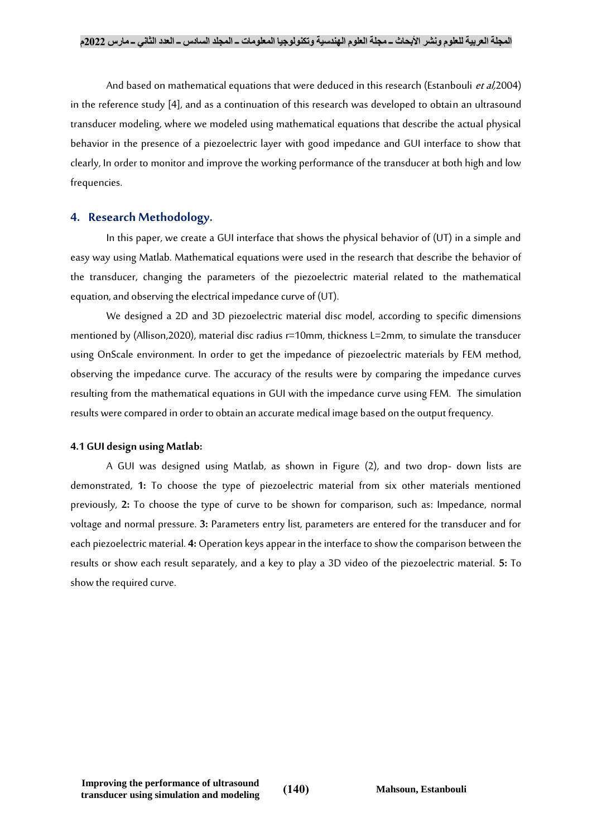And based on mathematical equations that were deduced in this research (Estanbouli et al, 2004) in the reference study [4], and as a continuation of this research was developed to obtain an ultrasound transducer modeling, where we modeled using mathematical equations that describe the actual physical behavior in the presence of a piezoelectric layer with good impedance and GUI interface to show that clearly, In order to monitor and improve the working performance of the transducer at both high and low frequencies.

## **4. Research Methodology.**

In this paper, we create a GUI interface that shows the physical behavior of (UT) in a simple and easy way using Matlab. Mathematical equations were used in the research that describe the behavior of the transducer, changing the parameters of the piezoelectric material related to the mathematical equation, and observing the electrical impedance curve of (UT).

We designed a 2D and 3D piezoelectric material disc model, according to specific dimensions mentioned by (Allison,2020), material disc radius r=10mm, thickness L=2mm, to simulate the transducer using OnScale environment. In order to get the impedance of piezoelectric materials by FEM method, observing the impedance curve. The accuracy of the results were by comparing the impedance curves resulting from the mathematical equations in GUI with the impedance curve using FEM. The simulation results were compared in order to obtain an accurate medical image based on the output frequency.

## **4.1 GUI design using Matlab:**

A GUI was designed using Matlab, as shown in Figure (2), and two drop- down lists are demonstrated, **1:** To choose the type of piezoelectric material from six other materials mentioned previously, **2:** To choose the type of curve to be shown for comparison, such as: Impedance, normal voltage and normal pressure. **3:** Parameters entry list, parameters are entered for the transducer and for each piezoelectric material. **4:** Operation keys appear in the interface to show the comparison between the results or show each result separately, and a key to play a 3D video of the piezoelectric material. **5:** To show the required curve.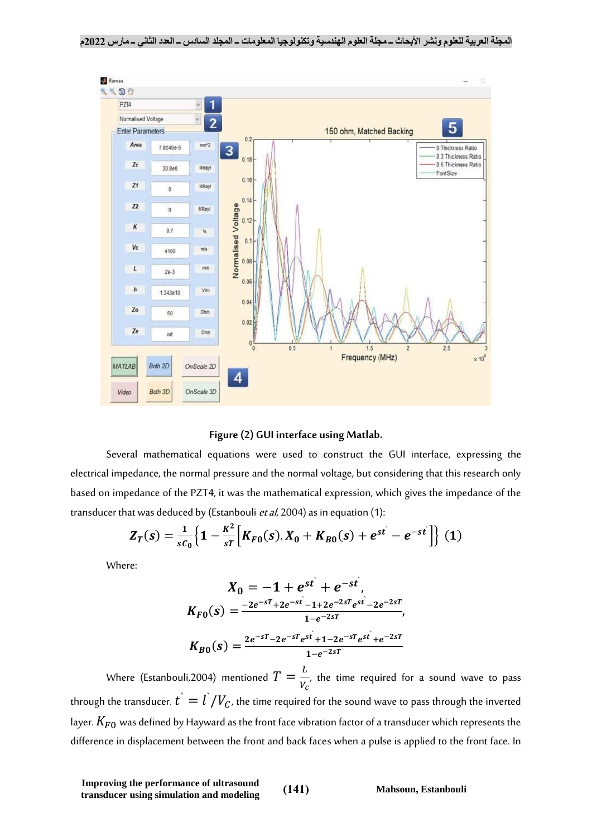



Several mathematical equations were used to construct the GUI interface, expressing the electrical impedance, the normal pressure and the normal voltage, but considering that this research only based on impedance of the PZT4, it was the mathematical expression, which gives the impedance of the transducer that was deduced by (Estanbouli et al, 2004) as in equation (1):

$$
Z_T(s) = \frac{1}{sC_0} \Big\{ 1 - \frac{K^2}{sT} \Big[ K_{F0}(s) . X_0 + K_{B0}(s) + e^{st} - e^{-st} \Big] \Big\} (1)
$$

Where:

$$
X_0 = -1 + e^{st} + e^{-st},
$$
  
\n
$$
K_{F0}(s) = \frac{-2e^{-sT} + 2e^{-st} - 1 + 2e^{-2sT}e^{st} - 2e^{-2sT}}{1 - e^{-2sT}},
$$
  
\n
$$
K_{B0}(s) = \frac{2e^{-sT} - 2e^{-sT}e^{st} + 1 - 2e^{-sT}e^{st} + e^{-2sT}}{1 - e^{-2sT}}
$$

Where (Estanbouli,2004) mentioned  $T=\frac{L}{V}$  $\frac{L}{V_c}$ , the time required for a sound wave to pass through the transducer.  $\dot{t^{\cdot}} = \dot{l^{\cdot}}/V_C$ , the time required for the sound wave to pass through the inverted layer.  $K_{F0}$  was defined by Hayward as the front face vibration factor of a transducer which represents the difference in displacement between the front and back faces when a pulse is applied to the front face. In

**Improving the performance of ultrasound transducer using simulation and modeling** (141) Mahsoun, Estanbouli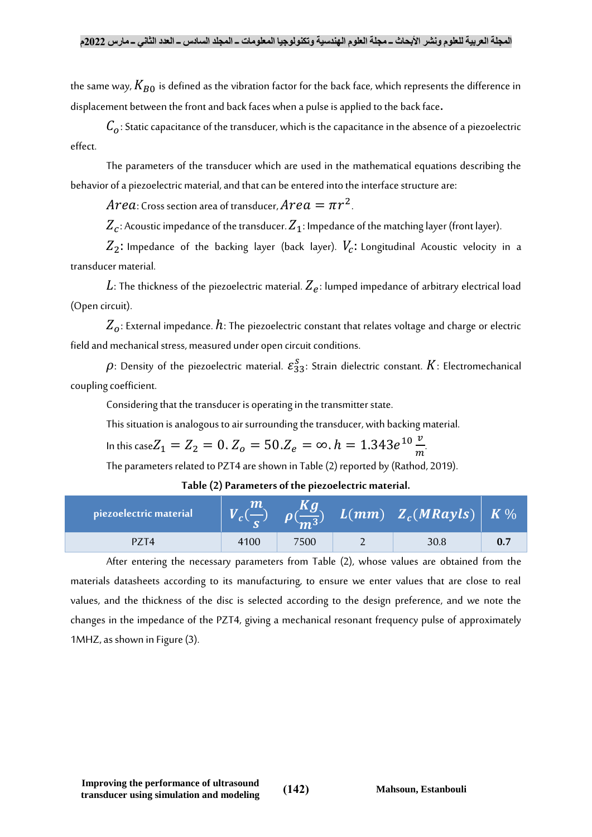the same way,  $K_{B0}$  is defined as the vibration factor for the back face, which represents the difference in displacement between the front and back faces when a pulse is applied to the back face.

 $C<sub>0</sub>$ : Static capacitance of the transducer, which is the capacitance in the absence of a piezoelectric effect.

The parameters of the transducer which are used in the mathematical equations describing the behavior of a piezoelectric material, and that can be entered into the interface structure are:

 $Area$ : Cross section area of transducer,  $Area = \pi r^2$ .

 $Z_{c}$ : Acoustic impedance of the transducer.  $Z_{1}$ : Impedance of the matching layer (front layer).

 $Z_2$ : Impedance of the backing layer (back layer).  $V_c$ : Longitudinal Acoustic velocity in a transducer material.

 $L$ : The thickness of the piezoelectric material.  $Z_{\bm e}$ : lumped impedance of arbitrary electrical load (Open circuit).

 $Z_{0}$ : External impedance.  $h$ : The piezoelectric constant that relates voltage and charge or electric field and mechanical stress, measured under open circuit conditions.

 $\rho$ : Density of the piezoelectric material.  $\varepsilon_{33}^{\scriptstyle S}$ : Strain dielectric constant.  $K$ : Electromechanical coupling coefficient.

Considering that the transducer is operating in the transmitter state.

This situation is analogous to air surrounding the transducer, with backing material.

In this case $Z_1 = Z_2 = 0$  .  $Z_o = 50$  . $Z_e = \infty$  .  $h = 1.343e^{10}\frac{v}{m}$  $\boldsymbol{m}$ .

The parameters related to PZT4 are shown in Table (2) reported by (Rathod, 2019).

**Table (2) Parameters of the piezoelectric material.**

| piezoelectric material |      |     | $L(mm)$ $Z_c(MRayls)$ $K\%$ |  |
|------------------------|------|-----|-----------------------------|--|
|                        | 4100 | 500 | 30.8                        |  |

After entering the necessary parameters from Table (2), whose values are obtained from the materials datasheets according to its manufacturing, to ensure we enter values that are close to real values, and the thickness of the disc is selected according to the design preference, and we note the changes in the impedance of the PZT4, giving a mechanical resonant frequency pulse of approximately 1MHZ, as shown in Figure (3).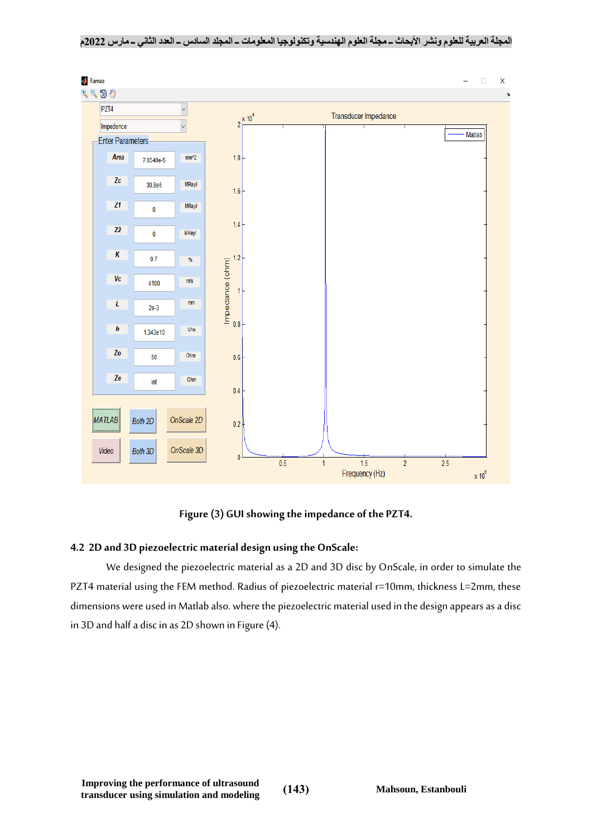**المجلة العربية للعلوم ونشر األبحاث ــ مجلة العلوم الهندسية وتكنولوجيا المعلومات ــ المجلد السادس ــ العدد الثاني ــ مارس 2022م**



**Figure (3) GUI showing the impedance of the PZT4.**

## **4.2 2D and 3D piezoelectric material design using the OnScale:**

We designed the piezoelectric material as a 2D and 3D disc by OnScale, in order to simulate the PZT4 material using the FEM method. Radius of piezoelectric material r=10mm, thickness L=2mm, these dimensions were used in Matlab also. where the piezoelectric material used in the design appears as a disc in 3D and half a disc in as 2D shown in Figure (4).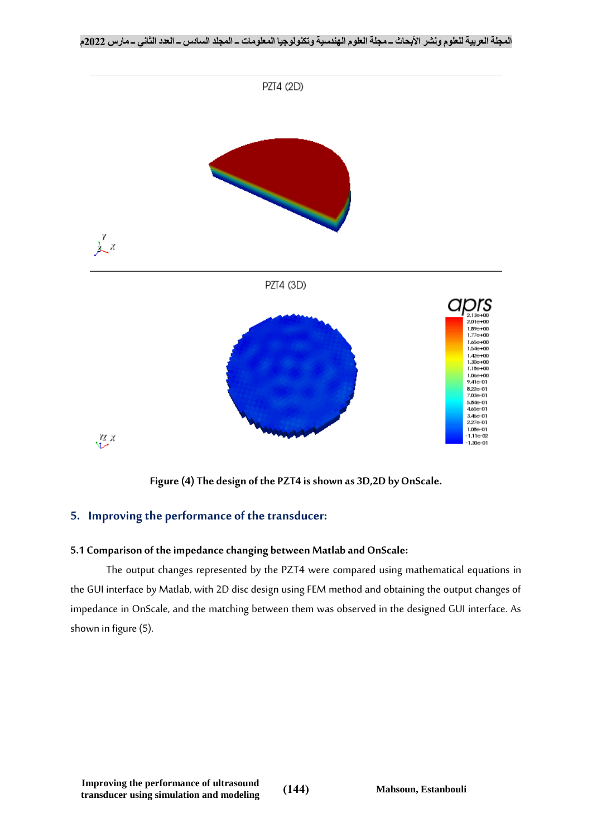

**Figure (4) The design of the PZT4 is shown as 3D,2D by OnScale.**

## **5. Improving the performance of the transducer:**

## **5.1 Comparison of the impedance changing between Matlab and OnScale:**

The output changes represented by the PZT4 were compared using mathematical equations in the GUI interface by Matlab, with 2D disc design using FEM method and obtaining the output changes of impedance in OnScale, and the matching between them was observed in the designed GUI interface. As shown in figure (5).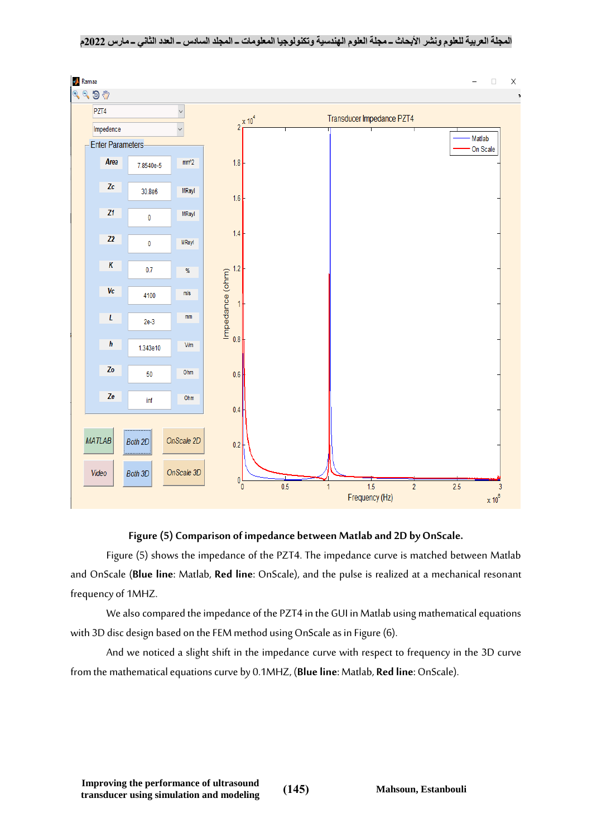**المجلة العربية للعلوم ونشر األبحاث ــ مجلة العلوم الهندسية وتكنولوجيا المعلومات ــ المجلد السادس ــ العدد الثاني ــ مارس 2022م**



## **Figure (5) Comparison of impedance between Matlab and 2D by OnScale.**

Figure (5) shows the impedance of the PZT4. The impedance curve is matched between Matlab and OnScale (**Blue line**: Matlab, **Red line**: OnScale), and the pulse is realized at a mechanical resonant frequency of 1MHZ.

We also compared the impedance of the PZT4 in the GUI in Matlab using mathematical equations with 3D disc design based on the FEM method using OnScale as in Figure (6).

And we noticed a slight shift in the impedance curve with respect to frequency in the 3D curve from the mathematical equations curve by 0.1MHZ, (**Blue line**: Matlab, **Red line**: OnScale).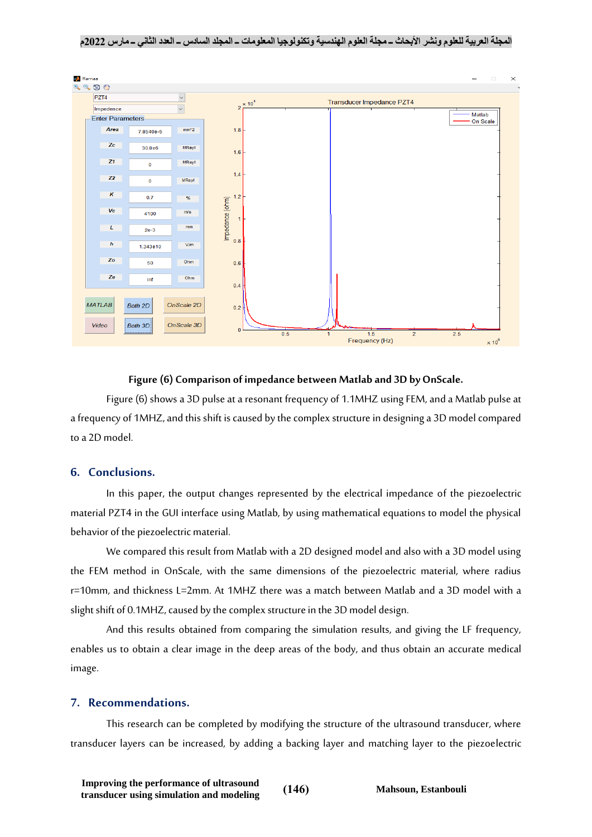#### **المجلة العربية للعلوم ونشر األبحاث ــ مجلة العلوم الهندسية وتكنولوجيا المعلومات ــ المجلد السادس ــ العدد الثاني ــ مارس 2022م**



#### **Figure (6) Comparison of impedance between Matlab and 3D by OnScale.**

Figure (6) shows a 3D pulse at a resonant frequency of 1.1MHZ using FEM, and a Matlab pulse at a frequency of 1MHZ, and this shift is caused by the complex structure in designing a 3D model compared to a 2D model.

## **6. Conclusions.**

In this paper, the output changes represented by the electrical impedance of the piezoelectric material PZT4 in the GUI interface using Matlab, by using mathematical equations to model the physical behavior of the piezoelectric material.

We compared this result from Matlab with a 2D designed model and also with a 3D model using the FEM method in OnScale, with the same dimensions of the piezoelectric material, where radius r=10mm, and thickness L=2mm. At 1MHZ there was a match between Matlab and a 3D model with a slight shift of 0.1MHZ, caused by the complex structure in the 3D model design.

And this results obtained from comparing the simulation results, and giving the LF frequency, enables us to obtain a clear image in the deep areas of the body, and thus obtain an accurate medical image.

#### **7. Recommendations.**

This research can be completed by modifying the structure of the ultrasound transducer, where transducer layers can be increased, by adding a backing layer and matching layer to the piezoelectric